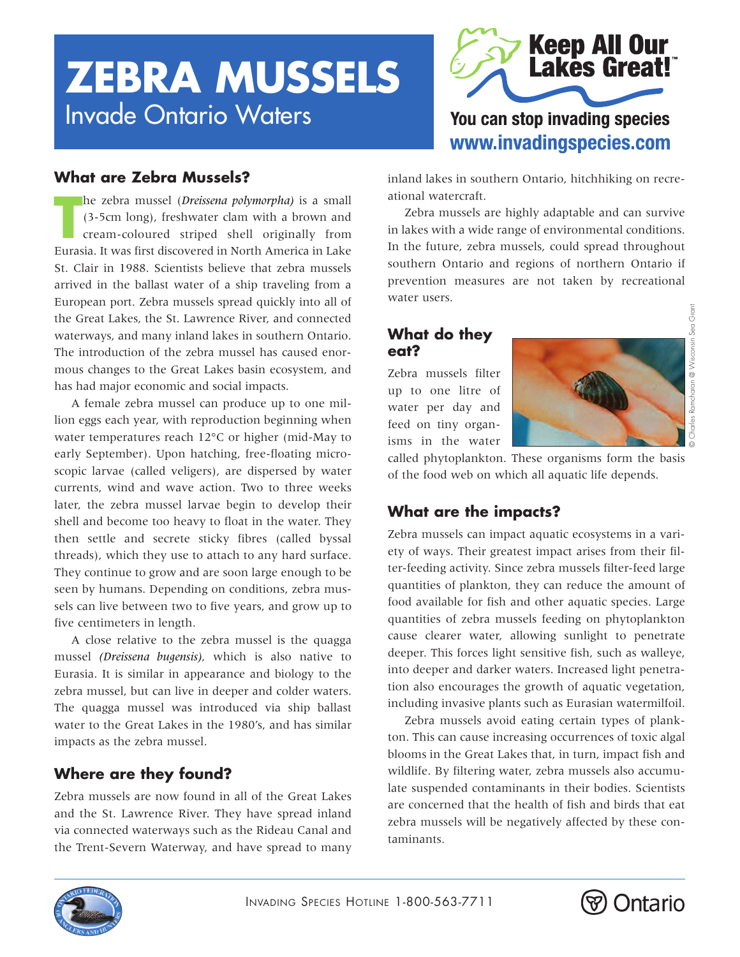# **ZEBRA MUSSELS** Invade Ontario Waters



## **What are Zebra Mussels?**

**The zebra mussel (***Dreissena polymorpha***) is a small (3-5cm long), freshwater clam with a brown and cream-coloured striped shell originally from Eurasia. It was first discovered in North America in Lake** he zebra mussel (*Dreissena polymorpha)* is a small (3-5cm long), freshwater clam with a brown and cream-coloured striped shell originally from St. Clair in 1988. Scientists believe that zebra mussels arrived in the ballast water of a ship traveling from a European port. Zebra mussels spread quickly into all of the Great Lakes, the St. Lawrence River, and connected waterways, and many inland lakes in southern Ontario. The introduction of the zebra mussel has caused enormous changes to the Great Lakes basin ecosystem, and has had major economic and social impacts.

A female zebra mussel can produce up to one million eggs each year, with reproduction beginning when water temperatures reach 12°C or higher (mid-May to early September). Upon hatching, free-floating microscopic larvae (called veligers), are dispersed by water currents, wind and wave action. Two to three weeks later, the zebra mussel larvae begin to develop their shell and become too heavy to float in the water. They then settle and secrete sticky fibres (called byssal threads), which they use to attach to any hard surface. They continue to grow and are soon large enough to be seen by humans. Depending on conditions, zebra mussels can live between two to five years, and grow up to five centimeters in length.

A close relative to the zebra mussel is the quagga mussel *(Dreissena bugensis)*, which is also native to Eurasia. It is similar in appearance and biology to the zebra mussel, but can live in deeper and colder waters. The quagga mussel was introduced via ship ballast water to the Great Lakes in the 1980's, and has similar impacts as the zebra mussel.

## **Where are they found?**

Zebra mussels are now found in all of the Great Lakes and the St. Lawrence River. They have spread inland via connected waterways such as the Rideau Canal and the Trent-Severn Waterway, and have spread to many inland lakes in southern Ontario, hitchhiking on recreational watercraft.

Zebra mussels are highly adaptable and can survive in lakes with a wide range of environmental conditions. In the future, zebra mussels, could spread throughout southern Ontario and regions of northern Ontario if prevention measures are not taken by recreational water users.

## **What do they eat?**

Zebra mussels filter up to one litre of water per day and feed on tiny organisms in the water



called phytoplankton. These organisms form the basis of the food web on which all aquatic life depends.

## **What are the impacts?**

Zebra mussels can impact aquatic ecosystems in a variety of ways. Their greatest impact arises from their filter-feeding activity. Since zebra mussels filter-feed large quantities of plankton, they can reduce the amount of food available for fish and other aquatic species. Large quantities of zebra mussels feeding on phytoplankton cause clearer water, allowing sunlight to penetrate deeper. This forces light sensitive fish, such as walleye, into deeper and darker waters. Increased light penetration also encourages the growth of aquatic vegetation, including invasive plants such as Eurasian watermilfoil.

Zebra mussels avoid eating certain types of plankton. This can cause increasing occurrences of toxic algal blooms in the Great Lakes that, in turn, impact fish and wildlife. By filtering water, zebra mussels also accumulate suspended contaminants in their bodies. Scientists are concerned that the health of fish and birds that eat zebra mussels will be negatively affected by these contaminants.